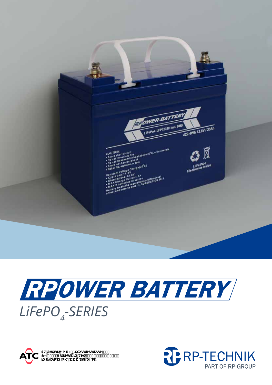





5H7YbhYf; a V< p=bXighf]YghfUggY`&,<br>7<!, \*\$(`Jc`\_Yhgk]`pHY'': 2(%\*&', , +' \$`, \$`<br>]bZc4UhWU['W\'pkkk'UhWU['W\

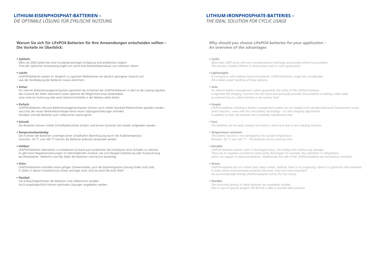# **LITHIUM-EISENPHOSPHAT-BATTERIEN –**

*DIE OPTIMALE LÖSUNG FÜR ZYKLISCHE NUTZUNG*

# **LITHIUM-IRONPHOSPHATE-BATTERIES –**

# *THE IDEAL SOLUTION FOR CYCLIC USAGE*

# **Warum Sie sich für LiFePO4-Batterien für Ihre Anwendungen entscheiden sollten – Die Vorteile im Überblick:**

### **• Zyklisch:**

Mehr als 2000 Zyklen bei einer hundertprozentigen Entladung sind problemlos möglich. Trotz der zyklischen Anwendung ergibt sich somit eine Batterielebensdauer von mehreren Jahren.

#### **• Leicht:**

LiFePO4-Batterien weisen im Vergleich zu typischen Bleibatterien ein deutlich geringeres Gewicht auf, was die Handhabung der Batterien massiv erleichtert.

#### **• Sicher:**

Die Funktion der Batterien unterliegt keiner schadhaften Beeinflussung durch die Außentemperatur. Zwischen -20 °C und +60 °C können die Batterien jederzeit verwendet werden.

Ein internes Batteriemanagementsystem garantiert die Sicherheit der LiFePO4-Batterien in dem es die Ladung reguliert, den Zustand der Zellen überwacht sowie optional die Möglichkeit eines Datenkabels, einer externer Sicherung oder einer Datenschnittstelle in der Batterie selbst bietet.

#### **• Einfach:**

LiFePO4-Batterien inklusive Batteriemanagementsystem können auch mittels Standard Bleikennlinien geladen werden, was trotz der neuen Batterietechnologie keine neuen Ladungseinstellungen erfordert. Daneben sind die Batterien auch vollkommen wartungsfrei.

#### **• Schnell:**

Die Batterien können mittels Schnellladefunktion einfach und binnen kürzester Zeit wieder aufgeladen werden.

#### **• Temperaturbeständig:**

#### **• Haltbar:**

LiFePO4-Batterien überstehen in entladenem Zustand auch problemlos die Urlaubszeit ohne Schaden zu nehmen. Es gibt keine Negativerscheinungen im teilentladenden Zustand, wie zum Beispiel Sulfatierung oder Austrocknung bei Bleibatterien. Weiterhin sind die Zellen der Batterien mechanisch beständig.

### **• Grün:**

LiFePO4-Batterien enthalten keine giftigen Schwermetalle, auch die batterietypische Gasung findet nicht statt. In Zeiten in denen Umweltschutz immer wichtiger wird, sind sie somit die erste Wahl.

#### **• Flexibel:**

Die Einbaumöglichkeiten der Batterien sind vollkommen variabel. Auch projektspezifisch können optimalen Lösungen angeboten werden.

# *Why should you choose LiFePO4-batteries for your application – An overview of the advantages*

#### *• Cyclic:*

*More than 2000 cycles with one hundred percent discharge are possible without any problem. This ensures a battery lifetime of several years even in cyclic applications.*

#### *• Lightweight:*

*In comparison with ordinary lead-acid-batteries, LiFePO4-batteries weigh less considerably, this enables easier handling of these batteries.*

#### *• Safe:*

*An internal battery management system guarantees the safety of the LiFePO4-batteries. It regulates the charging, monitors the cell status and optionally provides the possibility of adding a data cable, an external fuse or a data interface in the battery itself.*

*• Simple:*

*LiFePO4-batteries including a battery management system can be charged with standard lead-acid characteristic curves, which requires – even with this new battery technology – no new charging adjustments. In addition to that, the batteries are completely maintenance-free.*

#### *• Fast:*

*The batteries can be easily charged and within a short time due to fast charging function.*

#### *• Temperature-resistant:*

*The battery function is not damaged by the outside temperature. Between -20 °C and +60 °C – The batteries can be used any time.*

#### *• Durable:*

*LiFePO4-batteries endure, even in discharged status, the holiday time without any damage. There are no negative occurrences when partly discharged, for example, like sulphation or dehydration, which can happen to lead-acid batteries. Additionally, the cells of the LiFePO4-batteries are mechanical consistent.*

#### *• Green:*

*LiFePO4-batteries do not contain toxic heavy metals, additive, there is no outgassing, which it is typical for other batteries. In times where environmental protection becomes more and more important, the environmentally friendly LiFePO4-batteries will be the first choice.*

#### *• Flexible:*

*The mounting options of these batteries are completely variable. Also in case of specific projects, RP-Technik is able to provide ideal solutions.*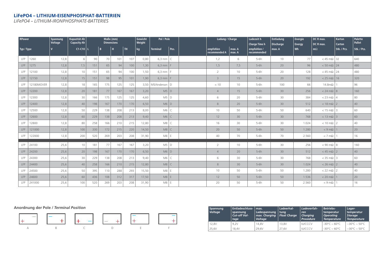# **LiFePO4 – LITHIUM-EISENPHOSPHAT-BATTERIEN**

*LiFePO4 – LITHIUM-IRONPHOSPHATE-BATTERIES*

| <b>RPower</b> |            | Spannung<br>Voltage | Kapazität Ah<br>Maße (mm)<br><b>Dimensions</b><br><b>Capacity Ah</b> |     |     |     | Gewicht<br>Pol / Pole<br>Weight |       |                        | Ladung / Charge |                            | Ladezeit h<br><b>Charge Time h</b> | Entladung<br><b>Discharge</b> | <b>Energie</b><br><b>Energy</b> | DC R max.<br>DC R max. | <b>Karton</b><br><b>Carton</b> | Palette<br>Pallet |             |
|---------------|------------|---------------------|----------------------------------------------------------------------|-----|-----|-----|---------------------------------|-------|------------------------|-----------------|----------------------------|------------------------------------|-------------------------------|---------------------------------|------------------------|--------------------------------|-------------------|-------------|
| Typ / Type    |            | $\mathbf{v}$        | $C1-C10$                                                             |     | B   | l H | <b>TH</b>                       | kg    | <b>Terminal</b>        | Pos.            | empfohlen<br>recommended A | max. A<br>$\vert$ max. A           | empfohlen /<br>recommended    | max. A                          | Wh                     | $m\Omega$                      | Stk. / Pcs.       | Stk. / Pcs. |
| LFP           | 1260       | 12,8                | 6                                                                    | 90  | 70  | 101 | 107                             | 0,80  | $6,3$ mm               | $\subset$       | 1,2                        | 6                                  | $5-6h$                        | 10                              | 77                     | $<$ 45 m $\Omega$ 32           |                   | 640         |
| LFP           | 1275       | 12,8                | 7,5                                                                  | 151 | 65  | 94  | 100                             | 1,30  | $6,3$ mm   F           |                 | 1,5                        | 7,5                                | $5-6h$                        | 20                              | 96                     | $< 50$ m $\Omega$ 24           |                   | 480         |
| LFP           | 12100      | 12,8                | 10                                                                   | 151 | 65  | 94  | 100                             | 1,50  | $6,3$ mm   F           |                 | $\overline{2}$             | 10                                 | $5-6h$                        | 20                              | 128                    | $<$ 45 m $\Omega$ 24           |                   | 480         |
| <b>LFP</b>    | 12150      | 12,8                | 15                                                                   | 151 | 98  | 95  | 101                             | 1,90  | $6,3$ mm               |                 | $\mathcal{E}$              | 15                                 | $5-6h$                        | 20                              | 192                    | $< 25 \text{ m}\Omega$ 16      |                   | 320         |
| LFP           | 12180MOVER | 12,8                | 18                                                                   | 165 | 175 | 125 | 125                             |       | 3,50   M5/Anderson   D |                 | < 10                       | 10                                 | $5-6h$                        | 100                             | 66                     | 14.8m $\Omega$                 |                   | 96          |
| LFP           | 12200      | 12,8                | 20                                                                   | 181 | 77  | 167 | 167                             | 3,20  | $MS$ D                 |                 | $\overline{4}$             | 15                                 | $5-6h$                        | 30                              | 256                    | $< 24 \text{ m}\Omega$ 8       |                   | 160         |
| LFP           | 12300      | 12,8                | 30                                                                   | 166 | 175 | 125 | 125                             | 4,60  | $M5$ D                 |                 | 6                          | 20                                 | $5-6h$                        | 30                              | 384                    | $< 23$ m $\Omega$ 4            |                   | 80          |
| LFP           | 12400      | 12,8                | 40                                                                   | 198 | 167 | 170 | 170                             | 6,50  | $M6$ D                 |                 | 8                          | 20                                 | $5-6h$                        | 30                              | 512                    | $< 18$ m $\Omega$ 2            |                   | 40          |
| LFP           | 12500      | 12,8                | 50                                                                   | 229 | 138 | 208 | 213                             | 8,00  | $M6$ C                 |                 | 10                         | 50                                 | $5-6h$                        | 50                              | 640                    | $< 15 \text{ m}\Omega$ 3       |                   | 60          |
| LFP           | 12600      | 12,8                | 60                                                                   | 229 | 138 | 208 | 213                             | 9,40  | $M6$ C                 |                 | 12                         | 30                                 | $5-6h$                        | 30                              | 768                    | $< 13$ m $\Omega$ 3            |                   | 60          |
| LFP           | 12800      | 12,8                | 80                                                                   | 258 | 166 | 210 | 215                             | 12,80 | $MS$ C                 |                 | 16                         | 30                                 | $5-6h$                        | 30                              | 1.024                  | $< 10$ m $\Omega$   2          |                   | 40          |
| <b>LFP</b>    | 121000     | 12,8                | 100                                                                  | 330 | 172 | 215 | 220                             | 14,50 | $MS$ C                 |                 | 20                         | 50                                 | $5-6h$                        | 50                              | 1.280                  | $<$ 9 m $\Omega$   1           |                   | 20          |
| <b>LFP</b>    | 122000     | 12,8                | 200                                                                  | 520 | 269 | 203 | 208                             | 31,90 | $MS$ E                 |                 | 40                         | 70                                 | $5-6h$                        | 70                              | 2.560                  | $<$ 7 m $\Omega$               |                   | 16          |
| LFP           | 24100      | 25,6                | 10                                                                   | 181 | 77  | 167 | 167                             | 3,20  | $M5$ D                 |                 | $\overline{2}$             | 10                                 | $5-6h$                        | 30                              | 256                    | $< 90 \text{ m}\Omega$ 8       |                   | 160         |
| <b>LFP</b>    | 24200      | 25,6                | 20                                                                   | 198 | 167 | 170 | 170                             | 6,50  | $M6$ D                 |                 | $\overline{4}$             | 20                                 | $5-6h$                        | 30                              | 512                    | $<$ 45 m $\Omega$   2          |                   | 40          |
| LFP           | 24300      | 25,6                | 30                                                                   | 229 | 138 | 208 | 213                             | 9,40  | $M6$ C                 |                 | 6                          | 30                                 | $5-6h$                        | 30                              | 768                    | $<$ 35 m $\Omega$ 3            |                   | 60          |
| <b>LFP</b>    | 24400      | 25,6                | 40                                                                   | 258 | 166 | 210 | 215                             | 12,80 | $MS$ C                 |                 | 8                          | 30                                 | $5-6h$                        | 30                              | 1.024                  | $< 26$ m $\Omega$   2          |                   | 40          |
| LFP           | 24500      | 25,6                | 50                                                                   | 395 | 110 | 288 | 293                             | 15,50 | $M8$ E                 |                 | 10                         | 50                                 | $5-6h$                        | 50                              | 1.280                  | $< 22$ m $\Omega$ 2            |                   | 40          |
| LFP           | 24600      | 25,6                | 60                                                                   | 436 | 108 | 312 | 317                             | 17,50 | $M8$ E                 |                 | 12                         | 50                                 | $5-6h$                        | 50                              | 1.536                  | $< 20$ m $\Omega$   1          |                   | 20          |
| LFP           | 241000     | 25,6                | 100                                                                  | 520 | 269 | 203 | 208                             | 31,90 | $M8$ E                 |                 | 20                         | 50                                 | $5-6h$                        | 50                              | 2.560                  | $<$ 9 m $\Omega$   1           |                   | 16          |

| <b>Spannung</b><br>Voltage | Entladeschluss-   max.<br>spannung<br>Cut-off Vol-<br>tage | Ladespannung<br>max. Charging<br>Voltage | Ladeerhal-<br>$ $ tung<br><b>Float Charge</b> | Ladeverfah-<br>ren<br><b>Charging</b><br>Procedure | <b>Betriebs-</b><br>temperatur<br>  Operating<br>Temperature | Lager-<br>temperatur<br><b>Storage</b><br><b>Temperature</b> |
|----------------------------|------------------------------------------------------------|------------------------------------------|-----------------------------------------------|----------------------------------------------------|--------------------------------------------------------------|--------------------------------------------------------------|
| 12.8V                      | 9.2V                                                       | 14.8V                                    | 13.8V                                         | <b>IU/CCCV</b>                                     | $-30^{\circ}$ C ~ 60°C                                       | $-30^{\circ}$ C ~ 50 °C                                      |
| 25,6V                      | 18.4V                                                      | 29.6V                                    | 27.6V                                         | <b>IU/CCCV</b>                                     | $-30^{\circ}$ C ~ 60°C                                       | $-30^{\circ}$ C ~ 50 °C                                      |









# **Anordnung der Pole /** *Terminal Position*

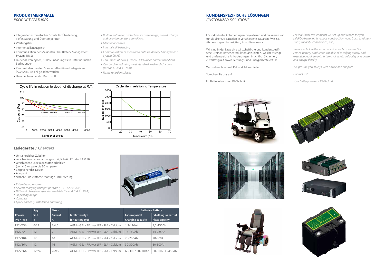- Integrierter automatischer Schutz für Überladung, Tiefentladung und Übertemperatur
- Wartungsfrei
- Interner Zellenausgleich
- Kommunikation der Messdaten über Battery Management System (BMS)
- Tausende von Zyklen, 100% Entladungstiefe unter normalen Bedingungen
- Kann mit den meisten Standard-Blei-Säure-Ladegeräten (AGM/GEL Zellen) geladen werden
- Flammenhemmendes Kunststoff

#### **PRODUKTMERKMALE** *PRODUCT FEATURES* discharge Performance at R.T. (12V) discharge Performance at R.T. (24V) discharge Performance at R.T. (24V) discharge Performance at R.T. (24V) discrete at R.T. (24V) discrete at R.T. (24V) discrete at R.T. (24V) discrete

- *Built-in automatic protection for over-charge, over-discharge and over-temperature conditions*
- *Maintenance-free*
- *Internal cell balancing*
- *Communication of monitored data via Battery Management System (BMS)*
- *Thousands of cycles, 100% DOD under normal conditions*
- *Can be charged using most standard lead-acid chargers (set for AGM/GEL cells)*

*• Flame retardant plastic*







#### Cycle life in relation to Temperature 3000 2500  $\frac{8}{12}$  2000  $51500$ 훝 1000 500  $\Omega$  $\Omega$ 20 30 40 50 60 70 Temperature (°C) Temperature (°C)

Cycle life in relation to Temperature





- Umfangreiches Zubehör
- verschiedene Ladespannungen möglich (6, 12 oder 24 Volt)
- verschiedene Ladekapazitäten erhältlich (von 4,5 Ampere bis 30 Ampere)
- ansprechendes Design
- kompakt
- schnelle und einfache Montage und Fixierung
- *Extensive accessoires*
- *Several charging voltages possible (6, 12 or 24 Volts)*
- *Different charging capacities available (from 4,5 A to 30 A)*
- *Appealing design*
- *Compact*
- *Quick and easy installation and fixing*

Für individuelle Anforderungen projektieren und realisieren wir für Sie LiFePO4-Batterien in verschiedene Bauarten (wie z.B. Abmessungen, Kapazitäten, Anschlüsse usw.).

Wir sind in der Lage eine wirtschaftliche und kundenspezifische LiFePO4-Batterieproduktion anzubieten, welche strenge und umfangreiche Anforderungen hinsichtlich Sicherheit, Zuverlässigkeit sowie Leistungs- und Energiedichte erfüllt.

Wir stehen Ihnen mit Rat und Tat zur Seite.

Sprechen Sie uns an!

Ihr Batterieteam von RP-Technik

*For individual requirements we set up and realize for you LiFePO4-batteries in various construction types (such as dimensions, capacity, connections, etc.).*

*We are able to offer an economical and customized Li-FePO4-battery production capable of satisfying strictly and extensive requirements in terms of safety, reliability and power and energy density.*

*We provide you always with advice and support.*

*Contact us!*

*Your battery team of RP-Technik*